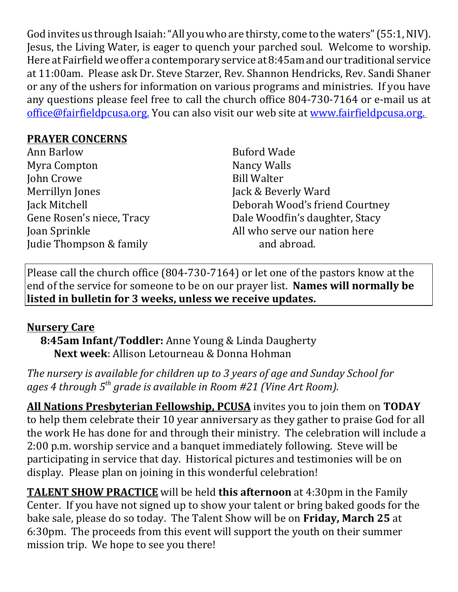God invites us through Isaiah: "All you who are thirsty, come to the waters" (55:1, NIV). Jesus, the Living Water, is eager to quench your parched soul. Welcome to worship. Here at Fairfield we offer a contemporary service at 8:45am and our traditional service at 11:00am. Please ask Dr. Steve Starzer, Rev. Shannon Hendricks, Rev. Sandi Shaner or any of the ushers for information on various programs and ministries. If you have any questions please feel free to call the church office 804-730-7164 or e-mail us at office@fairfieldpcusa.org. You can also visit our web site at www.fairfieldpcusa.org.

## **PRAYER CONCERNS**

| Ann Barlow                |
|---------------------------|
| Myra Compton              |
| John Crowe                |
| Merrillyn Jones           |
| Jack Mitchell             |
| Gene Rosen's niece, Tracy |
| Joan Sprinkle             |
| Judie Thompson & family   |
|                           |

Buford Wade Nancy Walls Bill Walter Jack & Beverly Ward Deborah Wood's friend Courtney Dale Woodfin's daughter, Stacy All who serve our nation here and abroad.

Please call the church office (804-730-7164) or let one of the pastors know at the end of the service for someone to be on our prayer list. **Names will normally be listed in bulletin for 3 weeks, unless we receive updates.**

## **Nursery Care**

**8:45am Infant/Toddler:** Anne Young & Linda Daugherty **Next week**: Allison Letourneau & Donna Hohman

*The nursery is available for children up to 3 years of age and Sunday School for ages 4 through 5th grade is available in Room #21 (Vine Art Room).*

**All Nations Presbyterian Fellowship, PCUSA** invites you to join them on **TODAY** to help them celebrate their 10 year anniversary as they gather to praise God for all the work He has done for and through their ministry. The celebration will include a 2:00 p.m. worship service and a banquet immediately following. Steve will be participating in service that day. Historical pictures and testimonies will be on display. Please plan on joining in this wonderful celebration!

**TALENT SHOW PRACTICE** will be held **this afternoon** at 4:30pm in the Family Center. If you have not signed up to show your talent or bring baked goods for the bake sale, please do so today. The Talent Show will be on **Friday, March 25** at 6:30pm. The proceeds from this event will support the youth on their summer mission trip. We hope to see you there!